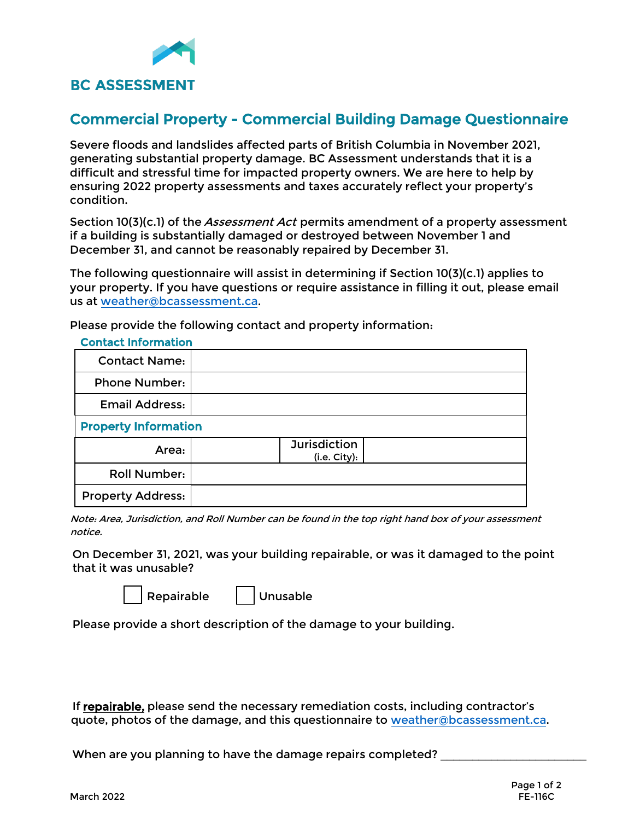

## Commercial Property - Commercial Building Damage Questionnaire

Severe floods and landslides affected parts of British Columbia in November 2021, generating substantial property damage. BC Assessment understands that it is a difficult and stressful time for impacted property owners. We are here to help by ensuring 2022 property assessments and taxes accurately reflect your property's condition.

Section 10(3)(c.1) of the *Assessment Act* permits amendment of a property assessment if a building is substantially damaged or destroyed between November 1 and December 31, and cannot be reasonably repaired by December 31.

The following questionnaire will assist in determining if Section 10(3)(c.1) applies to your property. If you have questions or require assistance in filling it out, please email us a[t weather@bcassessment.ca](mailto:weather@bcassessment.ca).

Please provide the following contact and property information:

| <b>Contact Information</b>  |                                     |  |  |  |  |  |
|-----------------------------|-------------------------------------|--|--|--|--|--|
| <b>Contact Name:</b>        |                                     |  |  |  |  |  |
| <b>Phone Number:</b>        |                                     |  |  |  |  |  |
| <b>Email Address:</b>       |                                     |  |  |  |  |  |
| <b>Property Information</b> |                                     |  |  |  |  |  |
| Area:                       | <b>Jurisdiction</b><br>(i.e. City): |  |  |  |  |  |
| <b>Roll Number:</b>         |                                     |  |  |  |  |  |
| <b>Property Address:</b>    |                                     |  |  |  |  |  |

Note: Area, Jurisdiction, and Roll Number can be found in the top right hand box of your assessment notice.

On December 31, 2021, was your building repairable, or was it damaged to the point that it was unusable?

Repairable | Unusable

Please provide a short description of the damage to your building.

If repairable, please send the necessary remediation costs, including contractor's quote, photos of the damage, and this questionnaire to [weather@bcassessment.ca.](mailto:weather@bcassessment.ca)

When are you planning to have the damage repairs completed?